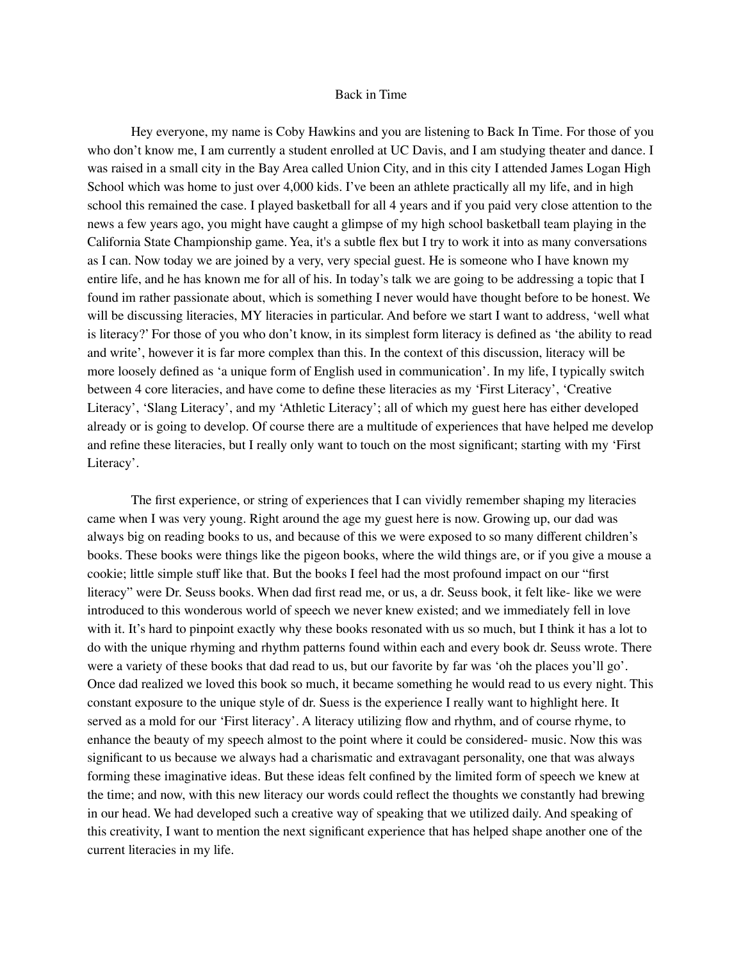## Back in Time

Hey everyone, my name is Coby Hawkins and you are listening to Back In Time. For those of you who don't know me, I am currently a student enrolled at UC Davis, and I am studying theater and dance. I was raised in a small city in the Bay Area called Union City, and in this city I attended James Logan High School which was home to just over 4,000 kids. I've been an athlete practically all my life, and in high school this remained the case. I played basketball for all 4 years and if you paid very close attention to the news a few years ago, you might have caught a glimpse of my high school basketball team playing in the California State Championship game. Yea, it's a subtle flex but I try to work it into as many conversations as I can. Now today we are joined by a very, very special guest. He is someone who I have known my entire life, and he has known me for all of his. In today's talk we are going to be addressing a topic that I found im rather passionate about, which is something I never would have thought before to be honest. We will be discussing literacies, MY literacies in particular. And before we start I want to address, 'well what is literacy?' For those of you who don't know, in its simplest form literacy is defined as 'the ability to read and write', however it is far more complex than this. In the context of this discussion, literacy will be more loosely defined as 'a unique form of English used in communication'. In my life, I typically switch between 4 core literacies, and have come to define these literacies as my 'First Literacy', 'Creative Literacy', 'Slang Literacy', and my 'Athletic Literacy'; all of which my guest here has either developed already or is going to develop. Of course there are a multitude of experiences that have helped me develop and refine these literacies, but I really only want to touch on the most significant; starting with my 'First Literacy'.

The first experience, or string of experiences that I can vividly remember shaping my literacies came when I was very young. Right around the age my guest here is now. Growing up, our dad was always big on reading books to us, and because of this we were exposed to so many different children's books. These books were things like the pigeon books, where the wild things are, or if you give a mouse a cookie; little simple stuff like that. But the books I feel had the most profound impact on our "first literacy" were Dr. Seuss books. When dad first read me, or us, a dr. Seuss book, it felt like- like we were introduced to this wonderous world of speech we never knew existed; and we immediately fell in love with it. It's hard to pinpoint exactly why these books resonated with us so much, but I think it has a lot to do with the unique rhyming and rhythm patterns found within each and every book dr. Seuss wrote. There were a variety of these books that dad read to us, but our favorite by far was 'oh the places you'll go'. Once dad realized we loved this book so much, it became something he would read to us every night. This constant exposure to the unique style of dr. Suess is the experience I really want to highlight here. It served as a mold for our 'First literacy'. A literacy utilizing flow and rhythm, and of course rhyme, to enhance the beauty of my speech almost to the point where it could be considered- music. Now this was significant to us because we always had a charismatic and extravagant personality, one that was always forming these imaginative ideas. But these ideas felt confined by the limited form of speech we knew at the time; and now, with this new literacy our words could reflect the thoughts we constantly had brewing in our head. We had developed such a creative way of speaking that we utilized daily. And speaking of this creativity, I want to mention the next significant experience that has helped shape another one of the current literacies in my life.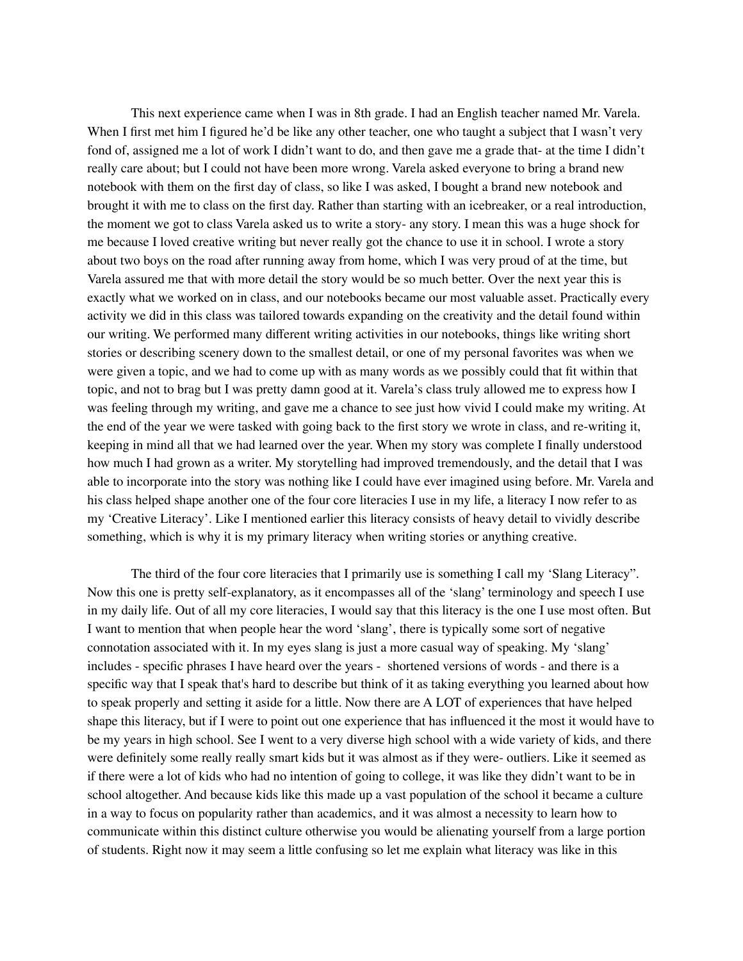This next experience came when I was in 8th grade. I had an English teacher named Mr. Varela. When I first met him I figured he'd be like any other teacher, one who taught a subject that I wasn't very fond of, assigned me a lot of work I didn't want to do, and then gave me a grade that- at the time I didn't really care about; but I could not have been more wrong. Varela asked everyone to bring a brand new notebook with them on the first day of class, so like I was asked, I bought a brand new notebook and brought it with me to class on the first day. Rather than starting with an icebreaker, or a real introduction, the moment we got to class Varela asked us to write a story- any story. I mean this was a huge shock for me because I loved creative writing but never really got the chance to use it in school. I wrote a story about two boys on the road after running away from home, which I was very proud of at the time, but Varela assured me that with more detail the story would be so much better. Over the next year this is exactly what we worked on in class, and our notebooks became our most valuable asset. Practically every activity we did in this class was tailored towards expanding on the creativity and the detail found within our writing. We performed many different writing activities in our notebooks, things like writing short stories or describing scenery down to the smallest detail, or one of my personal favorites was when we were given a topic, and we had to come up with as many words as we possibly could that fit within that topic, and not to brag but I was pretty damn good at it. Varela's class truly allowed me to express how I was feeling through my writing, and gave me a chance to see just how vivid I could make my writing. At the end of the year we were tasked with going back to the first story we wrote in class, and re-writing it, keeping in mind all that we had learned over the year. When my story was complete I finally understood how much I had grown as a writer. My storytelling had improved tremendously, and the detail that I was able to incorporate into the story was nothing like I could have ever imagined using before. Mr. Varela and his class helped shape another one of the four core literacies I use in my life, a literacy I now refer to as my 'Creative Literacy'. Like I mentioned earlier this literacy consists of heavy detail to vividly describe something, which is why it is my primary literacy when writing stories or anything creative.

The third of the four core literacies that I primarily use is something I call my 'Slang Literacy". Now this one is pretty self-explanatory, as it encompasses all of the 'slang' terminology and speech I use in my daily life. Out of all my core literacies, I would say that this literacy is the one I use most often. But I want to mention that when people hear the word 'slang', there is typically some sort of negative connotation associated with it. In my eyes slang is just a more casual way of speaking. My 'slang' includes - specific phrases I have heard over the years - shortened versions of words - and there is a specific way that I speak that's hard to describe but think of it as taking everything you learned about how to speak properly and setting it aside for a little. Now there are A LOT of experiences that have helped shape this literacy, but if I were to point out one experience that has influenced it the most it would have to be my years in high school. See I went to a very diverse high school with a wide variety of kids, and there were definitely some really really smart kids but it was almost as if they were- outliers. Like it seemed as if there were a lot of kids who had no intention of going to college, it was like they didn't want to be in school altogether. And because kids like this made up a vast population of the school it became a culture in a way to focus on popularity rather than academics, and it was almost a necessity to learn how to communicate within this distinct culture otherwise you would be alienating yourself from a large portion of students. Right now it may seem a little confusing so let me explain what literacy was like in this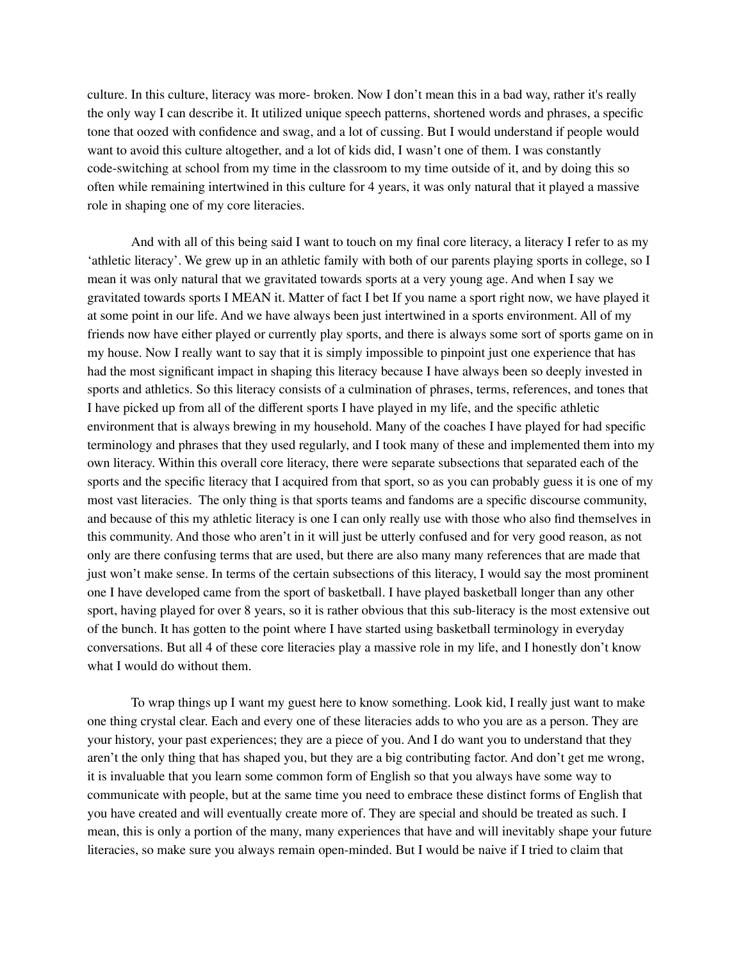culture. In this culture, literacy was more- broken. Now I don't mean this in a bad way, rather it's really the only way I can describe it. It utilized unique speech patterns, shortened words and phrases, a specific tone that oozed with confidence and swag, and a lot of cussing. But I would understand if people would want to avoid this culture altogether, and a lot of kids did, I wasn't one of them. I was constantly code-switching at school from my time in the classroom to my time outside of it, and by doing this so often while remaining intertwined in this culture for 4 years, it was only natural that it played a massive role in shaping one of my core literacies.

And with all of this being said I want to touch on my final core literacy, a literacy I refer to as my 'athletic literacy'. We grew up in an athletic family with both of our parents playing sports in college, so I mean it was only natural that we gravitated towards sports at a very young age. And when I say we gravitated towards sports I MEAN it. Matter of fact I bet If you name a sport right now, we have played it at some point in our life. And we have always been just intertwined in a sports environment. All of my friends now have either played or currently play sports, and there is always some sort of sports game on in my house. Now I really want to say that it is simply impossible to pinpoint just one experience that has had the most significant impact in shaping this literacy because I have always been so deeply invested in sports and athletics. So this literacy consists of a culmination of phrases, terms, references, and tones that I have picked up from all of the different sports I have played in my life, and the specific athletic environment that is always brewing in my household. Many of the coaches I have played for had specific terminology and phrases that they used regularly, and I took many of these and implemented them into my own literacy. Within this overall core literacy, there were separate subsections that separated each of the sports and the specific literacy that I acquired from that sport, so as you can probably guess it is one of my most vast literacies. The only thing is that sports teams and fandoms are a specific discourse community, and because of this my athletic literacy is one I can only really use with those who also find themselves in this community. And those who aren't in it will just be utterly confused and for very good reason, as not only are there confusing terms that are used, but there are also many many references that are made that just won't make sense. In terms of the certain subsections of this literacy, I would say the most prominent one I have developed came from the sport of basketball. I have played basketball longer than any other sport, having played for over 8 years, so it is rather obvious that this sub-literacy is the most extensive out of the bunch. It has gotten to the point where I have started using basketball terminology in everyday conversations. But all 4 of these core literacies play a massive role in my life, and I honestly don't know what I would do without them.

To wrap things up I want my guest here to know something. Look kid, I really just want to make one thing crystal clear. Each and every one of these literacies adds to who you are as a person. They are your history, your past experiences; they are a piece of you. And I do want you to understand that they aren't the only thing that has shaped you, but they are a big contributing factor. And don't get me wrong, it is invaluable that you learn some common form of English so that you always have some way to communicate with people, but at the same time you need to embrace these distinct forms of English that you have created and will eventually create more of. They are special and should be treated as such. I mean, this is only a portion of the many, many experiences that have and will inevitably shape your future literacies, so make sure you always remain open-minded. But I would be naive if I tried to claim that